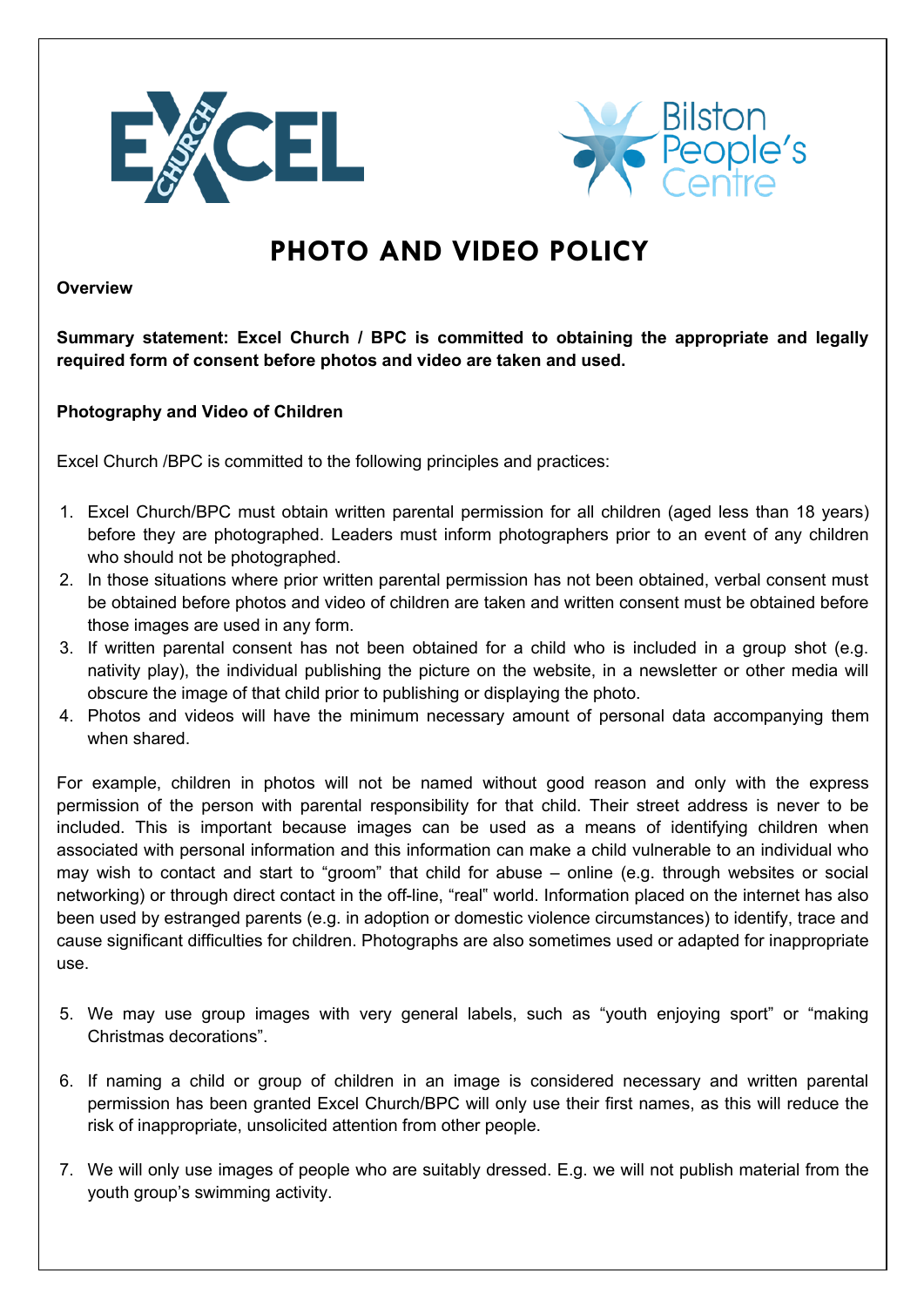



## **PHOTO AND VIDEO POLICY**

**Overview**

**Summary statement: Excel Church / BPC is committed to obtaining the appropriate and legally required form of consent before photos and video are taken and used.**

## **Photography and Video of Children**

Excel Church /BPC is committed to the following principles and practices:

- 1. Excel Church/BPC must obtain written parental permission for all children (aged less than 18 years) before they are photographed. Leaders must inform photographers prior to an event of any children who should not be photographed.
- 2. In those situations where prior written parental permission has not been obtained, verbal consent must be obtained before photos and video of children are taken and written consent must be obtained before those images are used in any form.
- 3. If written parental consent has not been obtained for a child who is included in a group shot (e.g. nativity play), the individual publishing the picture on the website, in a newsletter or other media will obscure the image of that child prior to publishing or displaying the photo.
- 4. Photos and videos will have the minimum necessary amount of personal data accompanying them when shared.

For example, children in photos will not be named without good reason and only with the express permission of the person with parental responsibility for that child. Their street address is never to be included. This is important because images can be used as a means of identifying children when associated with personal information and this information can make a child vulnerable to an individual who may wish to contact and start to "groom" that child for abuse – online (e.g. through websites or social networking) or through direct contact in the off-line, "real" world. Information placed on the internet has also been used by estranged parents (e.g. in adoption or domestic violence circumstances) to identify, trace and cause significant difficulties for children. Photographs are also sometimes used or adapted for inappropriate use.

- 5. We may use group images with very general labels, such as "youth enjoying sport" or "making Christmas decorations".
- 6. If naming a child or group of children in an image is considered necessary and written parental permission has been granted Excel Church/BPC will only use their first names, as this will reduce the risk of inappropriate, unsolicited attention from other people.
- 7. We will only use images of people who are suitably dressed. E.g. we will not publish material from the youth group's swimming activity.